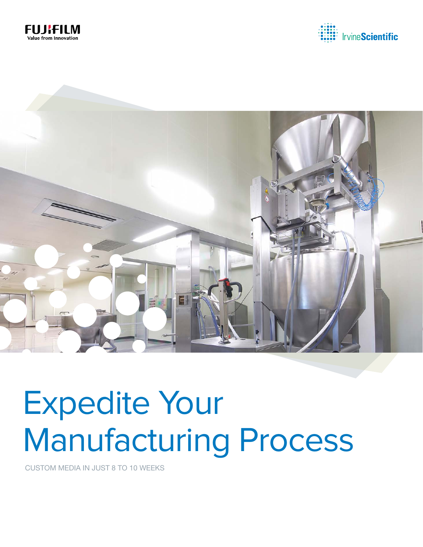





# Expedite Your Manufacturing Process

CUSTOM MEDIA IN JUST 8 TO 10 WEEKS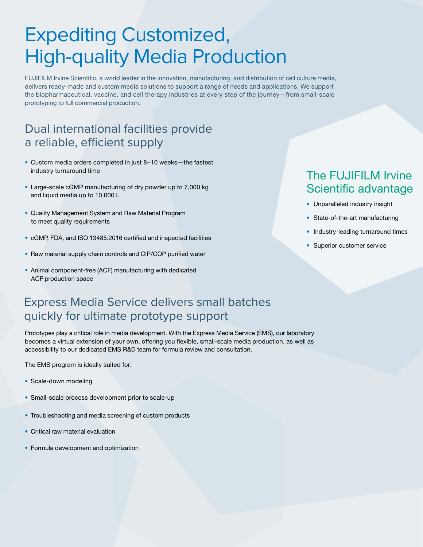### Expediting Customized, High-quality Media Production

FUJIFILM Irvine Scientific, a world leader in the innovation, manufacturing, and distribution of cell culture media, delivers ready-made and custom media solutions to support a range of needs and applications. We support the biopharmaceutical, vaccine, and cell therapy industries at every step of the journey—from small-scale prototyping to full commercial production.

### Dual international facilities provide a reliable, efficient supply

- Custom media orders completed in just 8–10 weeks—the fastest industry turnaround time
- Large-scale cGMP manufacturing of dry powder up to 7,000 kg and liquid media up to 10,000 L
- Quality Management System and Raw Material Program to meet quality requirements
- cGMP, FDA, and ISO 13485:2016 certified and inspected facilities
- Raw material supply chain controls and CIP/COP purified water
- Animal component-free (ACF) manufacturing with dedicated ACF production space

#### Express Media Service delivers small batches quickly for ultimate prototype support

Prototypes play a critical role in media development. With the Express Media Service (EMS), our laboratory becomes a virtual extension of your own, offering you flexible, small-scale media production, as well as accessibility to our dedicated EMS R&D team for formula review and consultation.

The EMS program is ideally suited for:

- Scale-down modeling
- Small-scale process development prior to scale-up
- Troubleshooting and media screening of custom products
- Critical raw material evaluation
- Formula development and optimization

### The FUJIFILM Irvine Scientific advantage

- Unparalleled industry insight
- State-of-the-art manufacturing
- Industry-leading turnaround times
- Superior customer service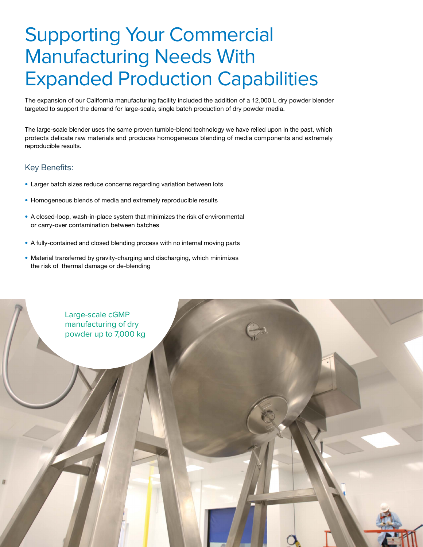### Supporting Your Commercial Manufacturing Needs With Expanded Production Capabilities

The expansion of our California manufacturing facility included the addition of a 12,000 L dry powder blender targeted to support the demand for large-scale, single batch production of dry powder media.

The large-scale blender uses the same proven tumble-blend technology we have relied upon in the past, which protects delicate raw materials and produces homogeneous blending of media components and extremely reproducible results.

#### Key Benefits:

- Larger batch sizes reduce concerns regarding variation between lots
- Homogeneous blends of media and extremely reproducible results
- A closed-loop, wash-in-place system that minimizes the risk of environmental or carry-over contamination between batches
- A fully-contained and closed blending process with no internal moving parts
- Material transferred by gravity-charging and discharging, which minimizes the risk of thermal damage or de-blending